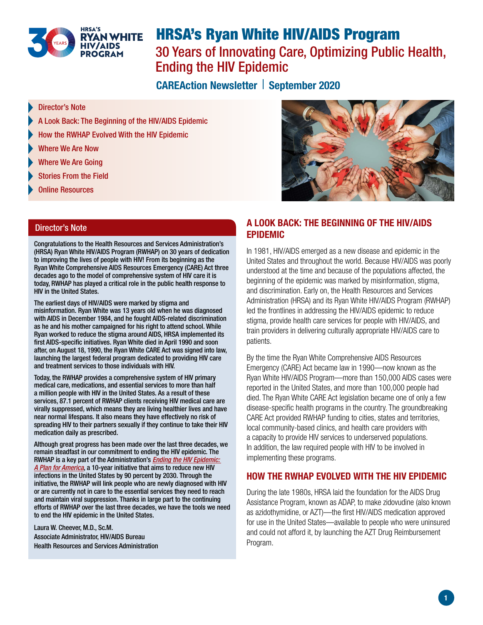

# HRSA's Ryan White HIV/AIDS Program 30 Years of Innovating Care, Optimizing Public Health, Ending the HIV Epidemic

CAREAction Newsletter | September 2020

- Director's Note
- [A Look Back: The Beginning of the HIV/AIDS Epidemic](#page-0-0)
- [How the RWHAP Evolved With the HIV Epidemic](#page-0-1)
- [Where We Are Now](#page-1-0)
- [Where We Are Going](#page-1-1)
- [Stories From the Field](#page-2-0)
- [Online Resources](#page-3-0)

### Director's Note

Congratulations to the Health Resources and Services Administration's (HRSA) Ryan White HIV/AIDS Program (RWHAP) on 30 years of dedication to improving the lives of people with HIV! From its beginning as the Ryan White Comprehensive AIDS Resources Emergency (CARE) Act three decades ago to the model of comprehensive system of HIV care it is today, RWHAP has played a critical role in the public health response to HIV in the United States.

The earliest days of HIV/AIDS were marked by stigma and misinformation. Ryan White was 13 years old when he was diagnosed with AIDS in December 1984, and he fought AIDS-related discrimination as he and his mother campaigned for his right to attend school. While Ryan worked to reduce the stigma around AIDS, HRSA implemented its first AIDS-specific initiatives. Ryan White died in April 1990 and soon after, on August 18, 1990, the Ryan White CARE Act was signed into law, launching the largest federal program dedicated to providing HIV care and treatment services to those individuals with HIV.

Today, the RWHAP provides a comprehensive system of HIV primary medical care, medications, and essential services to more than half a million people with HIV in the United States. As a result of these services, 87.1 percent of RWHAP clients receiving HIV medical care are virally suppressed, which means they are living healthier lives and have near normal lifespans. It also means they have effectively no risk of spreading HIV to their partners sexually if they continue to take their HIV medication daily as prescribed.

Although great progress has been made over the last three decades, we remain steadfast in our commitment to ending the HIV epidemic. The RWHAP is a key part of the Administration's *[Ending the HIV Epidemic:](https://www.hiv.gov/federal-response/ending-the-hiv-epidemic/overview)  [A Plan for America](https://www.hiv.gov/federal-response/ending-the-hiv-epidemic/overview)*, a 10-year initiative that aims to reduce new HIV infections in the United States by 90 percent by 2030. Through the initiative, the RWHAP will link people who are newly diagnosed with HIV or are currently not in care to the essential services they need to reach and maintain viral suppression. Thanks in large part to the continuing efforts of RWHAP over the last three decades, we have the tools we need to end the HIV epidemic in the United States.

Laura W. Cheever, M.D., Sc.M. Associate Administrator, HIV/AIDS Bureau Health Resources and Services Administration



## <span id="page-0-0"></span>A LOOK BACK: THE BEGINNING OF THE HIV/AIDS EPIDEMIC

In 1981, HIV/AIDS emerged as a new disease and epidemic in the United States and throughout the world. Because HIV/AIDS was poorly understood at the time and because of the populations affected, the beginning of the epidemic was marked by misinformation, stigma, and discrimination. Early on, the Health Resources and Services Administration (HRSA) and its Ryan White HIV/AIDS Program (RWHAP) led the frontlines in addressing the HIV/AIDS epidemic to reduce stigma, provide health care services for people with HIV/AIDS, and train providers in delivering culturally appropriate HIV/AIDS care to patients.

By the time the Ryan White Comprehensive AIDS Resources Emergency (CARE) Act became law in 1990—now known as the Ryan White HIV/AIDS Program—more than 150,000 AIDS cases were reported in the United States, and more than 100,000 people had died. The Ryan White CARE Act legislation became one of only a few disease-specific health programs in the country. The groundbreaking CARE Act provided RWHAP funding to cities, states and territories, local community-based clinics, and health care providers with a capacity to provide HIV services to underserved populations. In addition, the law required people with HIV to be involved in implementing these programs.

## <span id="page-0-1"></span>HOW THE RWHAP EVOLVED WITH THE HIV EPIDEMIC

During the late 1980s, HRSA laid the foundation for the AIDS Drug Assistance Program, known as ADAP, to make zidovudine (also known as azidothymidine, or AZT)—the first HIV/AIDS medication approved for use in the United States—available to people who were uninsured and could not afford it, by launching the AZT Drug Reimbursement Program.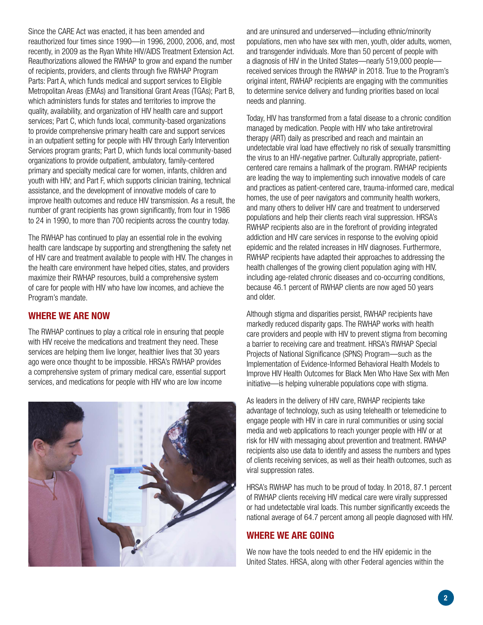Since the CARE Act was enacted, it has been amended and reauthorized four times since 1990—in 1996, 2000, 2006, and, most recently, in 2009 as the Ryan White HIV/AIDS Treatment Extension Act. Reauthorizations allowed the RWHAP to grow and expand the number of recipients, providers, and clients through five RWHAP Program Parts: Part A, which funds medical and support services to Eligible Metropolitan Areas (EMAs) and Transitional Grant Areas (TGAs); Part B, which administers funds for states and territories to improve the quality, availability, and organization of HIV health care and support services; Part C, which funds local, community-based organizations to provide comprehensive primary health care and support services in an outpatient setting for people with HIV through Early Intervention Services program grants; Part D, which funds local community-based organizations to provide outpatient, ambulatory, family-centered primary and specialty medical care for women, infants, children and youth with HIV; and Part F, which supports clinician training, technical assistance, and the development of innovative models of care to improve health outcomes and reduce HIV transmission. As a result, the number of grant recipients has grown significantly, from four in 1986 to 24 in 1990, to more than 700 recipients across the country today.

The RWHAP has continued to play an essential role in the evolving health care landscape by supporting and strengthening the safety net of HIV care and treatment available to people with HIV. The changes in the health care environment have helped cities, states, and providers maximize their RWHAP resources, build a comprehensive system of care for people with HIV who have low incomes, and achieve the Program's mandate.

## <span id="page-1-0"></span>WHERE WE ARE NOW

The RWHAP continues to play a critical role in ensuring that people with HIV receive the medications and treatment they need. These services are helping them live longer, healthier lives that 30 years ago were once thought to be impossible. HRSA's RWHAP provides a comprehensive system of primary medical care, essential support services, and medications for people with HIV who are low income



and are uninsured and underserved—including ethnic/minority populations, men who have sex with men, youth, older adults, women, and transgender individuals. More than 50 percent of people with a diagnosis of HIV in the United States—nearly 519,000 people received services through the RWHAP in 2018. True to the Program's original intent, RWHAP recipients are engaging with the communities to determine service delivery and funding priorities based on local needs and planning.

Today, HIV has transformed from a fatal disease to a chronic condition managed by medication. People with HIV who take antiretroviral therapy (ART) daily as prescribed and reach and maintain an undetectable viral load have effectively no risk of sexually transmitting the virus to an HIV-negative partner. Culturally appropriate, patientcentered care remains a hallmark of the program. RWHAP recipients are leading the way to implementing such innovative models of care and practices as patient-centered care, trauma-informed care, medical homes, the use of peer navigators and community health workers, and many others to deliver HIV care and treatment to underserved populations and help their clients reach viral suppression. HRSA's RWHAP recipients also are in the forefront of providing integrated addiction and HIV care services in response to the evolving opioid epidemic and the related increases in HIV diagnoses. Furthermore, RWHAP recipients have adapted their approaches to addressing the health challenges of the growing client population aging with HIV, including age-related chronic diseases and co-occurring conditions, because 46.1 percent of RWHAP clients are now aged 50 years and older.

Although stigma and disparities persist, RWHAP recipients have markedly reduced disparity gaps. The RWHAP works with health care providers and people with HIV to prevent stigma from becoming a barrier to receiving care and treatment. HRSA's RWHAP Special Projects of National Significance (SPNS) Program—such as the Implementation of Evidence-Informed Behavioral Health Models to Improve HIV Health Outcomes for Black Men Who Have Sex with Men initiative—is helping vulnerable populations cope with stigma.

As leaders in the delivery of HIV care, RWHAP recipients take advantage of technology, such as using telehealth or telemedicine to engage people with HIV in care in rural communities or using social media and web applications to reach younger people with HIV or at risk for HIV with messaging about prevention and treatment. RWHAP recipients also use data to identify and assess the numbers and types of clients receiving services, as well as their health outcomes, such as viral suppression rates.

HRSA's RWHAP has much to be proud of today. In 2018, 87.1 percent of RWHAP clients receiving HIV medical care were virally suppressed or had undetectable viral loads. This number significantly exceeds the national average of 64.7 percent among all people diagnosed with HIV.

## <span id="page-1-1"></span>WHERE WE ARE GOING

We now have the tools needed to end the HIV epidemic in the United States. HRSA, along with other Federal agencies within the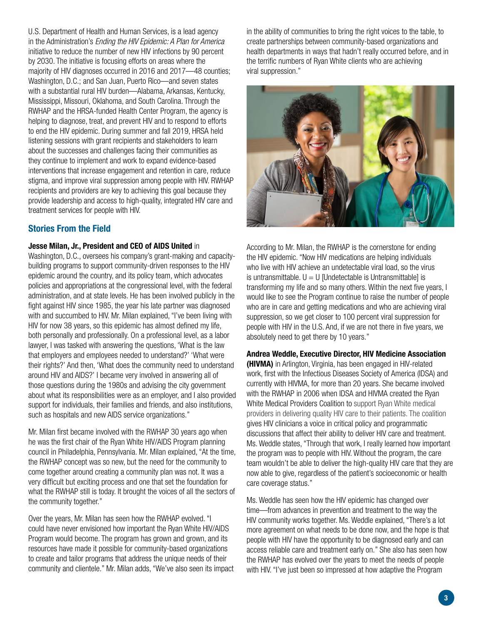U.S. Department of Health and Human Services, is a lead agency in the Administration's *Ending the HIV Epidemic: A Plan for America* initiative to reduce the number of new HIV infections by 90 percent by 2030. The initiative is focusing efforts on areas where the majority of HIV diagnoses occurred in 2016 and 2017—48 counties; Washington, D.C.; and San Juan, Puerto Rico—and seven states with a substantial rural HIV burden—Alabama, Arkansas, Kentucky, Mississippi, Missouri, Oklahoma, and South Carolina. Through the RWHAP and the HRSA-funded Health Center Program, the agency is helping to diagnose, treat, and prevent HIV and to respond to efforts to end the HIV epidemic. During summer and fall 2019, HRSA held listening sessions with grant recipients and stakeholders to learn about the successes and challenges facing their communities as they continue to implement and work to expand evidence-based interventions that increase engagement and retention in care, reduce stigma, and improve viral suppression among people with HIV. RWHAP recipients and providers are key to achieving this goal because they provide leadership and access to high-quality, integrated HIV care and treatment services for people with HIV.

## <span id="page-2-0"></span>Stories From the Field

#### Jesse Milan, Jr., President and CEO of AIDS United in

Washington, D.C., oversees his company's grant-making and capacitybuilding programs to support community-driven responses to the HIV epidemic around the country, and its policy team, which advocates policies and appropriations at the congressional level, with the federal administration, and at state levels. He has been involved publicly in the fight against HIV since 1985, the year his late partner was diagnosed with and succumbed to HIV. Mr. Milan explained, "I've been living with HIV for now 38 years, so this epidemic has almost defined my life, both personally and professionally. On a professional level, as a labor lawyer, I was tasked with answering the questions, 'What is the law that employers and employees needed to understand?' 'What were their rights?' And then, 'What does the community need to understand around HIV and AIDS?' I became very involved in answering all of those questions during the 1980s and advising the city government about what its responsibilities were as an employer, and I also provided support for individuals, their families and friends, and also institutions, such as hospitals and new AIDS service organizations."

Mr. Milan first became involved with the RWHAP 30 years ago when he was the first chair of the Ryan White HIV/AIDS Program planning council in Philadelphia, Pennsylvania. Mr. Milan explained, "At the time, the RWHAP concept was so new, but the need for the community to come together around creating a community plan was not. It was a very difficult but exciting process and one that set the foundation for what the RWHAP still is today. It brought the voices of all the sectors of the community together."

Over the years, Mr. Milan has seen how the RWHAP evolved. "I could have never envisioned how important the Ryan White HIV/AIDS Program would become. The program has grown and grown, and its resources have made it possible for community-based organizations to create and tailor programs that address the unique needs of their community and clientele." Mr. Milan adds, "We've also seen its impact in the ability of communities to bring the right voices to the table, to create partnerships between community-based organizations and health departments in ways that hadn't really occurred before, and in the terrific numbers of Ryan White clients who are achieving viral suppression."



According to Mr. Milan, the RWHAP is the cornerstone for ending the HIV epidemic. "Now HIV medications are helping individuals who live with HIV achieve an undetectable viral load, so the virus is untransmittable.  $U = U$  [Undetectable is Untransmittable] is transforming my life and so many others. Within the next five years, I would like to see the Program continue to raise the number of people who are in care and getting medications and who are achieving viral suppression, so we get closer to 100 percent viral suppression for people with HIV in the U.S. And, if we are not there in five years, we absolutely need to get there by 10 years."

#### Andrea Weddle, Executive Director, HIV Medicine Association

(HIVMA) in Arlington, Virginia, has been engaged in HIV-related work, first with the Infectious Diseases Society of America (IDSA) and currently with HIVMA, for more than 20 years. She became involved with the RWHAP in 2006 when IDSA and HIVMA created the Ryan White Medical Providers Coalition to support Ryan White medical providers in delivering quality HIV care to their patients. The coalition gives HIV clinicians a voice in critical policy and programmatic discussions that affect their ability to deliver HIV care and treatment. Ms. Weddle states, "Through that work, I really learned how important the program was to people with HIV. Without the program, the care team wouldn't be able to deliver the high-quality HIV care that they are now able to give, regardless of the patient's socioeconomic or health care coverage status."

Ms. Weddle has seen how the HIV epidemic has changed over time—from advances in prevention and treatment to the way the HIV community works together. Ms. Weddle explained, "There's a lot more agreement on what needs to be done now, and the hope is that people with HIV have the opportunity to be diagnosed early and can access reliable care and treatment early on." She also has seen how the RWHAP has evolved over the years to meet the needs of people with HIV. "I've just been so impressed at how adaptive the Program